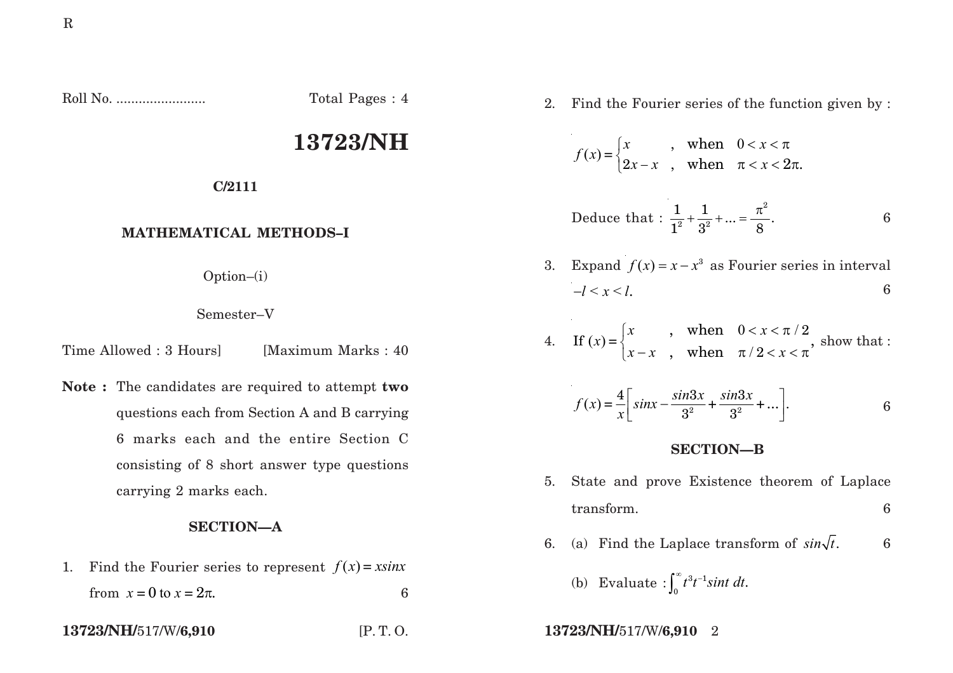Roll No. ........................ Total Pages : 4

# **13723/NH**

**C/2111**

## **MATHEMATICAL METHODS–I**

Option–(i)

#### Semester–V

Time Allowed : 3 Hours [Maximum Marks : 40]

**Note :** The candidates are required to attempt **two** questions each from Section A and B carrying 6 marks each and the entire Section C consisting of 8 short answer type questions carrying 2 marks each.

## **SECTION—A**

1. Find the Fourier series to represent  $f(x) = x sin x$ from  $x = 0$  to  $x = 2\pi$ . 6

2. Find the Fourier series of the function given by :

$$
f(x) = \begin{cases} x & \text{when} & 0 < x < \pi \\ 2x - x & \text{when} & \pi < x < 2\pi. \end{cases}
$$

Deduce that : 
$$
\frac{1}{1^2} + \frac{1}{3^2} + ... = \frac{\pi^2}{8}
$$
.

3. Expand  $f(x) = x - x^3$  as Fourier series in interval  $-l < x < l$ . 6

4. If 
$$
(x) = \begin{cases} x \\ x - x \end{cases}
$$
, when  $0 < x < \pi/2$ , show that :

$$
f(x) = \frac{4}{x} \left[ \sin x - \frac{\sin 3x}{3^2} + \frac{\sin 3x}{3^2} + \dots \right].
$$
 6

#### **SECTION—B**

- 5. State and prove Existence theorem of Laplace transform. 6
- 6. (a) Find the Laplace transform of  $sin\sqrt{t}$ . 6
	- (b) Evaluate :  $\int_0^\infty t^3 t^{-1} \sin t \, dt$ .
- **13723/NH/**517/W/**6,910** [P. T. O. **13723/NH/**517/W/**6,910** 2